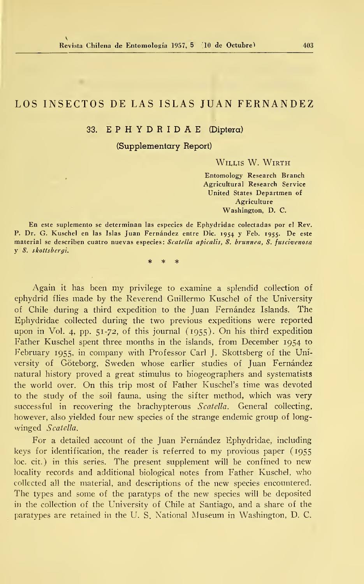# LOS INSECTOS DE LAS ISLAS JUAN FERNANDEZ

# 33. E P H Y D R <sup>I</sup> D A E (Díptera)

(Supplementary Report)

WILLIS W. WIRTH

Entomology Research Branch Agricultural Research Service United States Departmen of Agriculture Washington, D. C.

En este suplemento se determinan las especies de Ephydridae colectadas por el Rev. P. Dr. G. Kuschel en las Islas Juan Fernández entre Dic. <sup>1954</sup> Y Feb. 1955. De este material se describen cuatro nuevas especies: Scatella apicalis, S. brunnea, S. fuscivenosa y S. skottsbergi.

> $\ast$  $\ast$

Again it has been my privilege to examine <sup>a</sup> splendid collection of ephydrid flies made by the Reverend Guillermo Kuschel of the University of Chile during a third expedition to the Juan Fernández Islands. The Ephydridae collected during the two previous expeditions were reported upon in Vol. 4, pp. 51-72, of this journal (1955). On his third expedition Father Kuschel spent three months in the islands, from December 1954 to February 1955, in company with Professor Cari J. Skottsberg of the University of Góteborg, Sweden whose earlier studies of Juan Fernández natural history proved a great stimulus to biogeographers and systematists the world over. On this trip most of Father Kuschel's time was devoted to the study of the soil fauna, using the sifter method, which was very successful in recovering the brachypterous Scatella. General collecting, however, also yielded four new species of the strange endemic group of longwinged Scatella.

For a detailed account of the Juan Fernández Ephydridae, including keys for identification, the reader is referred to my provious paper (1955 loe. cit.) in this series. The present supplement will be confined to new locality records and additional biological notes from Father Kuschel, who collected all the material, and descriptions of the new species encountered. The types and some of the paratyps of the new species will be deposited iu the collection of the University of Chile at Santiago, and a share of the paratypes are retained in the U. S. National Museum in Washington, D. C.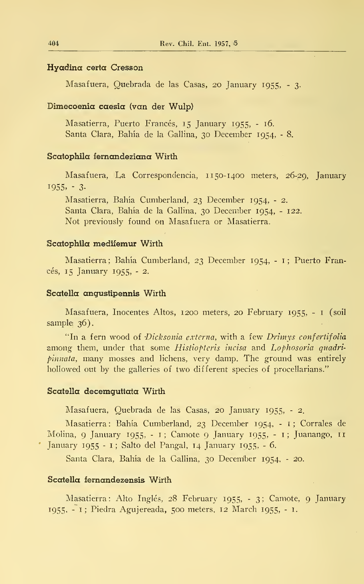# Hyadina certa Cresson

Masafuera, Quebrada de las Casas, 20 January 1955, - 3-

# Dimecoenia caesia (van der Wulp)

Masatierra, Puerto Francés, 15 January 1955, - 16. Santa Clara, Bahía de la Gallina, 30 December 1954, - 8.

### Scatophila fernandeziana Wirth

Masafuera, La Correspondencia, 1150-1400 meters, 26-29, January  $1955, -3.$ 

Masatierra, Bahía Cumberland, 23 December 1954, - 2. Santa Clara, Bahía de la Gallina, 30 December 1954, - 122. Not previously found on Masafuera or Masatierra.

### Scatophila medifemur Wirth

Masatierra; Bahía Cumberland, 23 December 1954, - 1; Puerto Francés, 15 January 1955, - 2.

### Scatella angustipennis Wirth

Masafuera, Inocentes Altos, 1200 meters, 20 February 1955, - <sup>1</sup> (soil sample 36).

"In a fern wood of Dicksonia externa, with a few Drimys confertifolia among them, under that some Histiopteris incisa and Lophosoria quadripinnata, many mosses and lichens, very damp. The ground was entirely hollowed out by the galleries of two different species of procellarians."

#### Scatella decemguttata Wirth

Masafuera, Quebrada de las Casas, 20 January 1955, - 2.

Masatierra: Bahía Cumberland, 23 December 1954, - 1; Corrales de Molina, 9 January 1955, - 1; Camote 9 January 1955, - 1; Juanango, <sup>11</sup> January 1955 - <sup>1</sup> ; Salto del Pangal, 14 January 1955, - 6.

Santa Clara, Bahía de la Gallina, 30 December 1954, - 20.

### Scatella fernandezensis Wirth

Masatierra: Alto Inglés, 28 February 1955, - 3; Camote, 9 January 1955, - 1; Piedra Agujereada, 500 meters, 12 March 1955, - 1.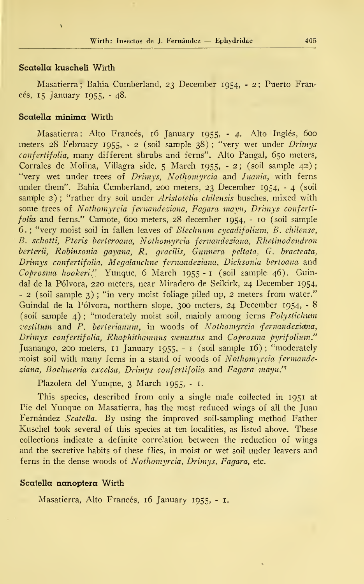# Scatella kuscheli Wirth

 $\overline{\mathbf{r}}$ 

Masatierra; Bahía Cumberland, 23 December 1954, - 2: Puerto Francés, 15 January 1955, - 48.

# Scatella mínima Wirth

Masatierra: Alto Francés, 16 January 1955, - 4. Alto Inglés, 600 meters 28 February 1955, - 2 (soil sample 38) ; "very wet under Drimys confertifolia, many different shrubs and ferns". Alto Pangal, 650 meters, Corrales de Molina, Villagra side, <sup>5</sup> March 1955, - 2; (soil sample 42); "very wet under trees of Drimys, Nothomyrcia and Juania, with ferns under them". Bahía Cumberland, 200 meters, 23 December 1954, - 4 (soil sample 2); "rather dry soil under Aristotelia chilensis busches, mixed with some trees of Nothomyrcia fernandeziana, Fagara mayu, Drimys confertifolia and ferns." Camote, 600 meters, 28 december 1954, - 10 (soil sample 6. ; "very moist soil in fallen leaves of Blechnum cycadifolium, B. chilense, B. schotti, Pteris berteroana, Nothomyrcia fernandeziana, Rhetinodendron berterii, Robinsonia gayana, R. gracilis, Gunnera peltata, G. bracteata, Drimys confertifolia, Megalanchne fernandeziana, Dicksonia bertoana and Coprosma hookeri." Yunque, 6 March 1955 - <sup>1</sup> (soil sample 46). Guindal de la Pólvora, 220 meters, near Miradero de Selkirk, 24 December 1954, - 2 (soil sample 3) ; "in very moist foliage piled up, <sup>2</sup> meters from water." Guindal de la Pólvora, northern slope, 300 meters, 24 December 1954, - 8 (soil sample 4) ; "moderately moist soil, mainly among ferns Polystichum vestitum and P. berterianum, in woods of Nothomyrcia fernandeziana, Drimys confertifolia, Rhaphithamnus venustus and Coprosma pyrifolium." Juanango, 200 meters, 11 January 1955, - <sup>1</sup> (soil sample 16); "moderately moist soil with many ferns in a stand of woods of Nothomyrcia fermandeziana, Boehmeria excelsa, Drimys confertifolia and Pagara mayu.'<sup>A</sup>

Plazoleta del Yunque, 3 March 1955, - 1.

This species, described from only a single male collected in 1951 at Pie del Yunque on Masatierra, has the most reduced wings of all the Juan Fernández Scatella. By using the improved soil-sampling method Father Kuschel took several of this species at ten localities, as listed above. These collections indícate a definite correlation between the reduction of wings and the secretive habits of these flies, in moist or wet soil under leavers and ferns in the dense woods of Nothomyrcia, Drimys, Pagara, etc.

#### Scatella nanoptera Wirth

Masatierra, Alto Francés, 16 January 1955, - i.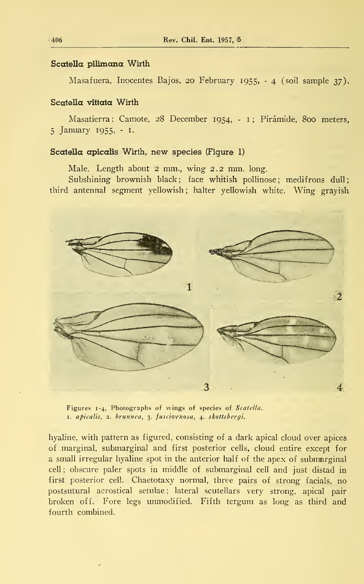### Scotella pilimana Wirth

Masafuera, Inocentes Bajos, 20 February 1955,  $-4$  (soil sample 37).

### Scotella vittata Wirth

Masatierra: Camote, 28 December 1954, - 1; Pirámide, 800 meters, 5 January 1955, - I.

# Scatella apicalis Wirth, new species (Figure 1)

Male. Length about 2 mm., wing 2.2 mm. long.

Subshining brownish black; face whitish pollinose; medifrons dull; third antennal segment yellowish; halter yellowish white. Wing grayish



Figures 1-4, Photographs of wings of species of Scatella. 1. apicalis, 2. brunnea, 3. fuscivenosa, 4. skottsbergi.

hyaline, with pattern as figured, consisting of a dark apical cloud over apices of marginal, submarginal and first posterior cells, cloud entire except for a small irregular hyaline spot in the anterior half of the apex of submarginal cell ; obscure paler spots in middle of submarginal cell and just distad in first posterior cell. Chaetotaxy normal, three pairs of strong facials, no postsutural acrostical setulae; lateral scutellars very strong, apical pair broken off. Fore legs unmodified. Fifth tergum as long as third and fourth combined.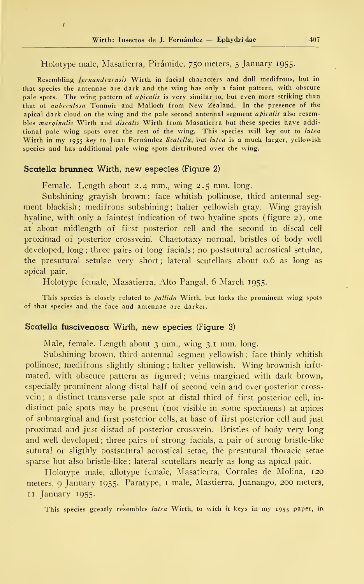### Holotype male, Masatierra, Pirámide, 750 meters, <sup>5</sup> January 1955.

Resembling *fernandezensis* Wirth in facial characters and dull medifrons, but in that species the antennae are dark and the wing has only a faint pattern, with obscure pale spots. The wing pattern of *apicalis* is very similar to, but even more striking than that of nubcculosa Tonnoir and Malloch from New Zealand. In the presence of the apical dark cloud on the wing and the pale second antennal segment apicalis also resembles marginalis Wirth and discalis Wirth from Masatierra but these species have additional pale wing spots over the rest of the wing. This species will key out to lutea Wirth in my 1955 key to Juan Fernández Scatella, but lutea is a much larger, yellowish species and has additional palé wing spots distributed over the wing.

#### Scatella brunnea Wirth, new especies (Figure 2)

 $\overline{1}$ 

Female. Length about 2.4 mm., wing 2.5 mm. long.

Subshining grayish brown ; face whitish pollinose, third antennal seg ment blackish; medifrons subshining; halter yellowish gray. Wing grayish hyaline, with only a faintest indication of two hyaline spots (figure 2), one at about midlength of first posterior cell and the second in discal cell proximad of posterior crossveih. Chaetotaxy normal, bristles of body well developed, long; three pairs of long facials; no postsutural acrostical setulae, the presutural setulae very short; lateral scutellars about 0.6 as long as apical pair.

Holotype female, Masatierra, Alto Pangal, 6 March 1955.

This species is closely related to *pallida* Wirth, but lacks the prominent wing spots of that species and the face and antennae are darker.

#### Scatella fuscivenosa Wirth, new species (Figure 3)

Male, female. Length about <sup>3</sup> mm., wing 3.1 mm. long.

Subshining brown, third antennal segmen yellowish ; face thinly whitish pollinose, medifrons slightly shining; halter yellowish. Wing brownish infumated, with obscure pattern as figured; veins margined with dark brown, especially prominent along distal half of second vein and over posterior cross vein ; a distinct transverse palé spot at distal third of first posterior cell, in distinct pale spots may be present (not visible in some specimens) at apices of submarginal and first posterior cells, at base of first posterior cell and just proximad and just distad of posterior crossvein. Bristles of body very long and well developed ; three pairs of strong facíais, a pair of strong bristle-like sutural or sligthly postsutural acrostical setae, the presutural thoracic setae sparse but also bristle-like ; lateral scutellars nearly as long as apical pair.

Holotype male, allotype female, Masatierra, Corrales de Molina, 120 meters, 9 January 1955. Paratype, <sup>1</sup> male, Mastierra, Juanango, 200 meters, 11 January 1955.

This species greatly resembles lutea Wirth, to wich it keys in my 1955 paper, in.